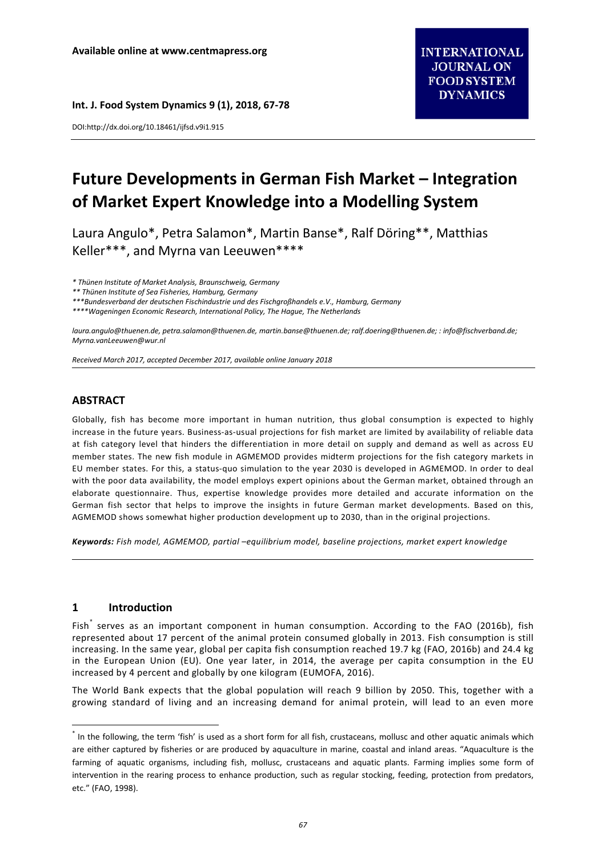**Int. J. Food System Dynamics 9 (1), 2018, 67-78**

DOI:http://dx.doi.org/10.18461/ijfsd.v9i1.915

# **Future Developments in German Fish Market – Integration of Market Expert Knowledge into a Modelling System**

Laura Angulo\*, Petra Salamon\*, Martin Banse\*, Ralf Döring\*\*, Matthias Keller\*\*\*, and Myrna van Leeuwen\*\*\*\*

*\* Thünen Institute of Market Analysis, Braunschweig, Germany*

*\*\* Thünen Institute of Sea Fisheries, Hamburg, Germany*

*\*\*\*Bundesverband der deutschen Fischindustrie und des Fischgroßhandels e.V., Hamburg, Germany*

*\*\*\*\*Wageningen Economic Research, International Policy, The Hague, The Netherlands*

*[laura.angulo@thuenen.de,](mailto:laura.angulo@thuenen.de) [petra.salamon@thuenen.de,](mailto:petra.salamon@thuenen.de) [martin.banse@thuenen.de;](mailto:martin.banse@thuenen.de) [ralf.doering@thuenen.de;](mailto:ralf.doering@thuenen.de) [: info@fischverband.de;](mailto:info@fischverband.de)  [Myrna.vanLeeuwen@wur.nl](mailto:Myrna.vanLeeuwen@wur.nl)*

*Received March 2017, accepted December 2017, available online January 2018*

# **ABSTRACT**

Globally, fish has become more important in human nutrition, thus global consumption is expected to highly increase in the future years. Business-as-usual projections for fish market are limited by availability of reliable data at fish category level that hinders the differentiation in more detail on supply and demand as well as across EU member states. The new fish module in AGMEMOD provides midterm projections for the fish category markets in EU member states. For this, a status-quo simulation to the year 2030 is developed in AGMEMOD. In order to deal with the poor data availability, the model employs expert opinions about the German market, obtained through an elaborate questionnaire. Thus, expertise knowledge provides more detailed and accurate information on the German fish sector that helps to improve the insights in future German market developments. Based on this, AGMEMOD shows somewhat higher production development up to 2030, than in the original projections.

*Keywords: Fish model, AGMEMOD, partial –equilibrium model, baseline projections, market expert knowledge*

## **1 Introduction**

Fish serves as an important component in human consumption. According to the FAO (2016b), fish represented about 17 percent of the animal protein consumed globally in 2013. Fish consumption is still increasing. In the same year, global per capita fish consumption reached 19.7 kg (FAO, 2016b) and 24.4 kg in the European Union (EU). One year later, in 2014, the average per capita consumption in the EU increased by 4 percent and globally by one kilogram (EUMOFA, 2016).

The World Bank expects that the global population will reach 9 billion by 2050. This, together with a growing standard of living and an increasing demand for animal protein, will lead to an even more

<span id="page-0-0"></span>\* In the following, the term 'fish' is used as a short form for all fish, crustaceans, mollusc and other aquatic animals which are either captured by fisheries or are produced by aquaculture in marine, coastal and inland areas. "Aquaculture is the farming of aquatic organisms, including fish, mollusc, crustaceans and aquatic plants. Farming implies some form of intervention in the rearing process to enhance production, such as regular stocking, feeding, protection from predators, etc." (FAO, 1998).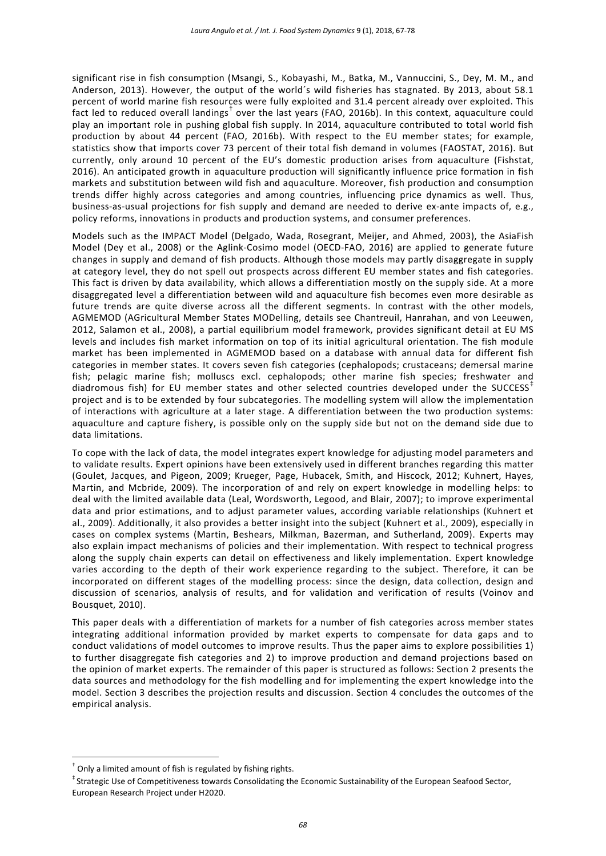significant rise in fish consumption (Msangi, S., Kobayashi, M., Batka, M., Vannuccini, S., Dey, M. M., and Anderson, 2013). However, the output of the world´s wild fisheries has stagnated. By 2013, about 58.1 percent of world marine fish resources were fully exploited and 31.4 percent already over exploited. This fact led to reduced overall landings<sup>[†](#page-1-0)</sup> over the last years (FAO, 2016b). In this context, aquaculture could play an important role in pushing global fish supply. In 2014, aquaculture contributed to total world fish production by about 44 percent (FAO, 2016b). With respect to the EU member states; for example, statistics show that imports cover 73 percent of their total fish demand in volumes (FAOSTAT, 2016). But currently, only around 10 percent of the EU's domestic production arises from aquaculture (Fishstat, 2016). An anticipated growth in aquaculture production will significantly influence price formation in fish markets and substitution between wild fish and aquaculture. Moreover, fish production and consumption trends differ highly across categories and among countries, influencing price dynamics as well. Thus, business-as-usual projections for fish supply and demand are needed to derive ex-ante impacts of, e.g., policy reforms, innovations in products and production systems, and consumer preferences.

Models such as the IMPACT Model (Delgado, Wada, Rosegrant, Meijer, and Ahmed, 2003), the AsiaFish Model (Dey et al., 2008) or the Aglink-Cosimo model (OECD-FAO, 2016) are applied to generate future changes in supply and demand of fish products. Although those models may partly disaggregate in supply at category level, they do not spell out prospects across different EU member states and fish categories. This fact is driven by data availability, which allows a differentiation mostly on the supply side. At a more disaggregated level a differentiation between wild and aquaculture fish becomes even more desirable as future trends are quite diverse across all the different segments. In contrast with the other models, AGMEMOD (AGricultural Member States MODelling, details see Chantreuil, Hanrahan, and von Leeuwen, 2012, Salamon et al., 2008), a partial equilibrium model framework, provides significant detail at EU MS levels and includes fish market information on top of its initial agricultural orientation. The fish module market has been implemented in AGMEMOD based on a database with annual data for different fish categories in member states. It covers seven fish categories (cephalopods; crustaceans; demersal marine fish; pelagic marine fish; molluscs excl. cephalopods; other marine fish species; freshwater and diadromous fish) for EU member states and other selected countries developed under the SUCCESS<sup>+</sup> project and is to be extended by four subcategories. The modelling system will allow the implementation of interactions with agriculture at a later stage. A differentiation between the two production systems: aquaculture and capture fishery, is possible only on the supply side but not on the demand side due to data limitations.

To cope with the lack of data, the model integrates expert knowledge for adjusting model parameters and to validate results. Expert opinions have been extensively used in different branches regarding this matter (Goulet, Jacques, and Pigeon, 2009; Krueger, Page, Hubacek, Smith, and Hiscock, 2012; Kuhnert, Hayes, Martin, and Mcbride, 2009). The incorporation of and rely on expert knowledge in modelling helps: to deal with the limited available data (Leal, Wordsworth, Legood, and Blair, 2007); to improve experimental data and prior estimations, and to adjust parameter values, according variable relationships (Kuhnert et al., 2009). Additionally, it also provides a better insight into the subject (Kuhnert et al., 2009), especially in cases on complex systems (Martin, Beshears, Milkman, Bazerman, and Sutherland, 2009). Experts may also explain impact mechanisms of policies and their implementation. With respect to technical progress along the supply chain experts can detail on effectiveness and likely implementation. Expert knowledge varies according to the depth of their work experience regarding to the subject. Therefore, it can be incorporated on different stages of the modelling process: since the design, data collection, design and discussion of scenarios, analysis of results, and for validation and verification of results (Voinov and Bousquet, 2010).

This paper deals with a differentiation of markets for a number of fish categories across member states integrating additional information provided by market experts to compensate for data gaps and to conduct validations of model outcomes to improve results. Thus the paper aims to explore possibilities 1) to further disaggregate fish categories and 2) to improve production and demand projections based on the opinion of market experts. The remainder of this paper is structured as follows: Section 2 presents the data sources and methodology for the fish modelling and for implementing the expert knowledge into the model. Section 3 describes the projection results and discussion. Section 4 concludes the outcomes of the empirical analysis.

<span id="page-1-0"></span>† Only a limited amount of fish is regulated by fishing rights.

<span id="page-1-1"></span><sup>‡</sup> Strategic Use of Competitiveness towards Consolidating the Economic Sustainability of the European Seafood Sector, European Research Project under H2020.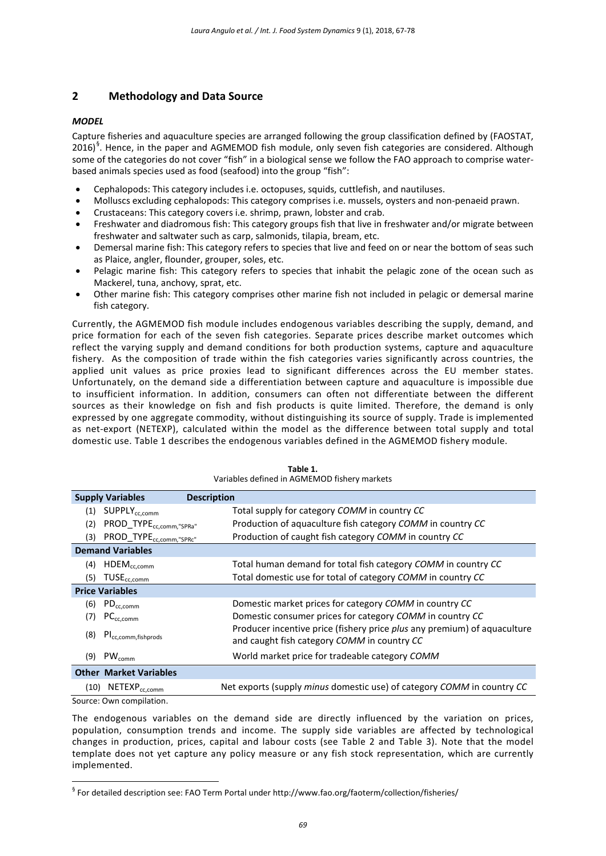# **2 Methodology and Data Source**

#### *MODEL*

Capture fisheries and aquaculture species are arranged following the group classification defined by (FAOSTAT, 2016)<sup>[§](#page-2-0)</sup>. Hence, in the paper and AGMEMOD fish module, only seven fish categories are considered. Although some of the categories do not cover "fish" in a biological sense we follow the FAO approach to comprise waterbased animals species used as food (seafood) into the group "fish":

- Cephalopods: This category includes i.e. octopuses, squids, cuttlefish, and nautiluses.
- Molluscs excluding cephalopods: This category comprises i.e. mussels, oysters and non-penaeid prawn.
- Crustaceans: This category covers i.e. shrimp, prawn, lobster and crab.
- Freshwater and diadromous fish: This category groups fish that live in freshwater and/or migrate between freshwater and saltwater such as carp, salmonids, tilapia, bream, etc.
- Demersal marine fish: This category refers to species that live and feed on or near the bottom of seas such as Plaice, angler, flounder, grouper, soles, etc.
- Pelagic marine fish: This category refers to species that inhabit the pelagic zone of the ocean such as Mackerel, tuna, anchovy, sprat, etc.
- Other marine fish: This category comprises other marine fish not included in pelagic or demersal marine fish category.

Currently, the AGMEMOD fish module includes endogenous variables describing the supply, demand, and price formation for each of the seven fish categories. Separate prices describe market outcomes which reflect the varying supply and demand conditions for both production systems, capture and aquaculture fishery. As the composition of trade within the fish categories varies significantly across countries, the applied unit values as price proxies lead to significant differences across the EU member states. Unfortunately, on the demand side a differentiation between capture and aquaculture is impossible due to insufficient information. In addition, consumers can often not differentiate between the different sources as their knowledge on fish and fish products is quite limited. Therefore, the demand is only expressed by one aggregate commodity, without distinguishing its source of supply. Trade is implemented as net-export (NETEXP), calculated within the model as the difference between total supply and total domestic use. Table 1 describes the endogenous variables defined in the AGMEMOD fishery module.

|                         | <b>Supply Variables</b><br><b>Description</b> |                                                                                                                         |  |  |  |  |
|-------------------------|-----------------------------------------------|-------------------------------------------------------------------------------------------------------------------------|--|--|--|--|
|                         | $(1)$ SUPPLY <sub>cc.comm</sub>               | Total supply for category COMM in country CC                                                                            |  |  |  |  |
| (2)                     | PROD_TYPE <sub>cc.comm."SPRa"</sub>           | Production of aquaculture fish category COMM in country CC                                                              |  |  |  |  |
|                         | (3) PROD_TYPE <sub>cc,comm,"SPRc"</sub>       | Production of caught fish category COMM in country CC                                                                   |  |  |  |  |
| <b>Demand Variables</b> |                                               |                                                                                                                         |  |  |  |  |
| (4)                     | $\mathsf{HDEM}_{\mathsf{cc}, \mathsf{comm}}$  | Total human demand for total fish category COMM in country CC                                                           |  |  |  |  |
| (5)                     | $TUSE_{cc,comm}$                              | Total domestic use for total of category COMM in country CC                                                             |  |  |  |  |
| <b>Price Variables</b>  |                                               |                                                                                                                         |  |  |  |  |
| (6)                     | $PD_{cc,comm}$                                | Domestic market prices for category COMM in country CC                                                                  |  |  |  |  |
| (7)                     | PC <sub>cc,comm</sub>                         | Domestic consumer prices for category COMM in country CC                                                                |  |  |  |  |
| (8)                     | PI <sub>cc,comm,fishprods</sub>               | Producer incentive price (fishery price plus any premium) of aquaculture<br>and caught fish category COMM in country CC |  |  |  |  |
| (9)                     | $PW_{comm}$                                   | World market price for tradeable category COMM                                                                          |  |  |  |  |
|                         | <b>Other Market Variables</b>                 |                                                                                                                         |  |  |  |  |
| (10)                    | NETEXP <sub>cc,comm</sub>                     | Net exports (supply <i>minus</i> domestic use) of category COMM in country CC                                           |  |  |  |  |

**Table 1.** Variables defined in AGMEMOD fishery markets

Source: Own compilation.

The endogenous variables on the demand side are directly influenced by the variation on prices, population, consumption trends and income. The supply side variables are affected by technological changes in production, prices, capital and labour costs (see Table 2 and Table 3). Note that the model template does not yet capture any policy measure or any fish stock representation, which are currently implemented.

<span id="page-2-0"></span>§ For detailed description see: FAO Term Portal under http://www.fao.org/faoterm/collection/fisheries/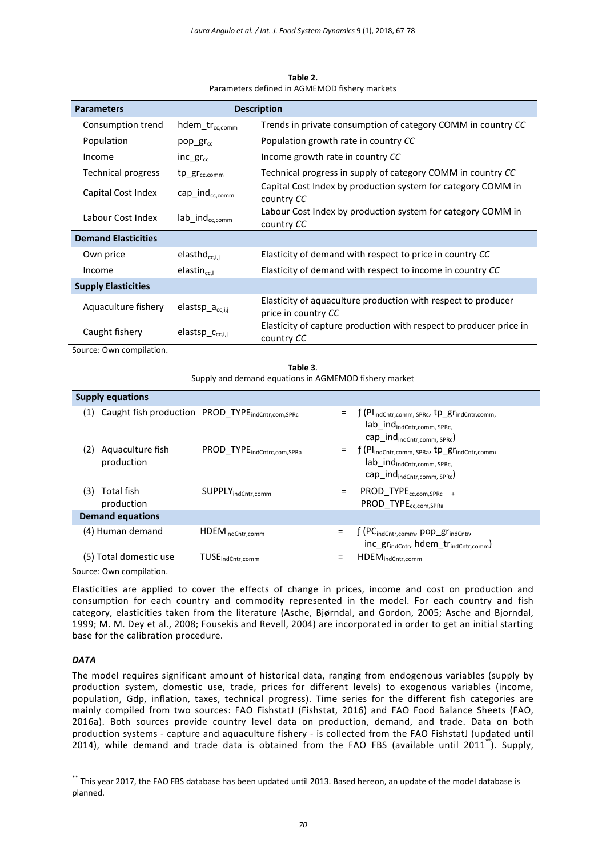| <b>Parameters</b>          |                            | <b>Description</b>                                                                   |  |  |
|----------------------------|----------------------------|--------------------------------------------------------------------------------------|--|--|
| Consumption trend          | hdem_tr <sub>cc,comm</sub> | Trends in private consumption of category COMM in country CC                         |  |  |
| Population                 | pop $gr_{cc}$              | Population growth rate in country CC                                                 |  |  |
| Income                     | inc $gr_{cc}$              | Income growth rate in country CC                                                     |  |  |
| Technical progress         | $tp\_gr_{cc.comm}$         | Technical progress in supply of category COMM in country CC                          |  |  |
| Capital Cost Index         | cap $ind_{cc.comm}$        | Capital Cost Index by production system for category COMM in<br>country CC           |  |  |
| Labour Cost Index          | $lab\_ind_{cc.comm}$       | Labour Cost Index by production system for category COMM in<br>country CC            |  |  |
| <b>Demand Elasticities</b> |                            |                                                                                      |  |  |
| Own price                  | elasth $d_{cc,i,i}$        | Elasticity of demand with respect to price in country CC                             |  |  |
| Income                     | $elastin_{cr}$             | Elasticity of demand with respect to income in country CC                            |  |  |
| <b>Supply Elasticities</b> |                            |                                                                                      |  |  |
| Aquaculture fishery        | $elastsp_a_{cc,i,j}$       | Elasticity of aquaculture production with respect to producer<br>price in country CC |  |  |
| Caught fishery             | $elasticp_{cc,i,j}$        | Elasticity of capture production with respect to producer price in<br>country CC     |  |  |

**Table 2.** Parameters defined in AGMEMOD fishery markets

Source: Own compilation.

**Table 3**. Supply and demand equations in AGMEMOD fishery market

| <b>Supply equations</b> |                                |                                                              |     |                                                                                                                                                           |  |  |  |  |
|-------------------------|--------------------------------|--------------------------------------------------------------|-----|-----------------------------------------------------------------------------------------------------------------------------------------------------------|--|--|--|--|
| (1)                     |                                | Caught fish production PROD_TYPE <sub>indCntr,com,SPRc</sub> | Ξ   | f (Pl <sub>indCntr,comm, SPRc</sub> , tp_gr <sub>indCntr,comm,</sub><br>lab_ind <sub>indCntr,comm, SPRc,</sub><br>cap_ind <sub>indCntr,comm, SPRc</sub> ) |  |  |  |  |
|                         | Aquaculture fish<br>production | PROD_TYPE <sub>indCntrc,com,SPRa</sub>                       |     | $=$ $\int (Pl_{indCntr,comm, SPRa}, tp\_gr_{indCntr,comm},$<br>$lab\_ind_{indCntr,comm, SPRC}$<br>cap_ind <sub>indCntr,comm, SPRc</sub> )                 |  |  |  |  |
| (3)                     | Total fish<br>production       | SUPPLY indCntr, comm                                         | Ξ   | PROD_TYPE <sub>cc.com,SPRc</sub> +<br>PROD_TYPE <sub>cc.com,SPRa</sub>                                                                                    |  |  |  |  |
| <b>Demand equations</b> |                                |                                                              |     |                                                                                                                                                           |  |  |  |  |
| (4) Human demand        |                                | HDEM <sub>indCntr,comm</sub>                                 | $=$ | f (PC <sub>indCntr,comm</sub> , pop_gr <sub>indCntr</sub> ,<br>inc gr <sub>indCntr</sub> , hdem_tr <sub>indCntr,comm</sub> )                              |  |  |  |  |
| (5) Total domestic use  |                                | TUSE <sub>indCntr,comm</sub>                                 | =   | HDEM <sub>indCntr,comm</sub>                                                                                                                              |  |  |  |  |

Source: Own compilation.

Elasticities are applied to cover the effects of change in prices, income and cost on production and consumption for each country and commodity represented in the model. For each country and fish category, elasticities taken from the literature (Asche, Bjørndal, and Gordon, 2005; Asche and Bjorndal, 1999; M. M. Dey et al., 2008; Fousekis and Revell, 2004) are incorporated in order to get an initial starting base for the calibration procedure.

## *DATA*

The model requires significant amount of historical data, ranging from endogenous variables (supply by production system, domestic use, trade, prices for different levels) to exogenous variables (income, population, Gdp, inflation, taxes, technical progress). Time series for the different fish categories are mainly compiled from two sources: FAO FishstatJ (Fishstat, 2016) and FAO Food Balance Sheets (FAO, 2016a). Both sources provide country level data on production, demand, and trade. Data on both production systems - capture and aquaculture fishery - is collected from the FAO FishstatJ (updated until 2014), while demand and trade data is obtained from the FAO FBS (available until 2011<sup>[\\*\\*](#page-3-0)</sup>). Supply,

<span id="page-3-0"></span><sup>\*\*</sup> This year 2017, the FAO FBS database has been updated until 2013. Based hereon, an update of the model database is planned.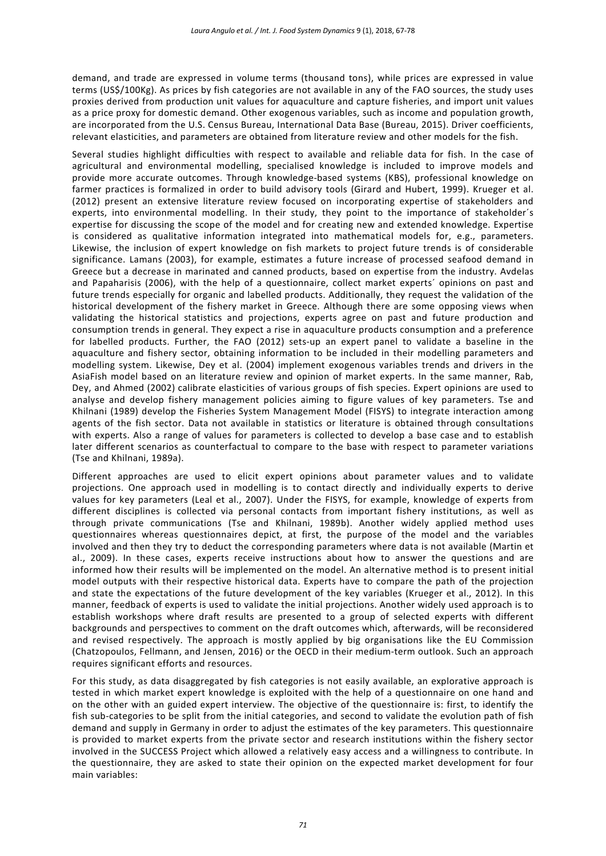demand, and trade are expressed in volume terms (thousand tons), while prices are expressed in value terms (US\$/100Kg). As prices by fish categories are not available in any of the FAO sources, the study uses proxies derived from production unit values for aquaculture and capture fisheries, and import unit values as a price proxy for domestic demand. Other exogenous variables, such as income and population growth, are incorporated from the U.S. Census Bureau, International Data Base (Bureau, 2015). Driver coefficients, relevant elasticities, and parameters are obtained from literature review and other models for the fish.

Several studies highlight difficulties with respect to available and reliable data for fish. In the case of agricultural and environmental modelling, specialised knowledge is included to improve models and provide more accurate outcomes. Through knowledge-based systems (KBS), professional knowledge on farmer practices is formalized in order to build advisory tools (Girard and Hubert, 1999). Krueger et al. (2012) present an extensive literature review focused on incorporating expertise of stakeholders and experts, into environmental modelling. In their study, they point to the importance of stakeholder's expertise for discussing the scope of the model and for creating new and extended knowledge. Expertise is considered as qualitative information integrated into mathematical models for, e.g., parameters. Likewise, the inclusion of expert knowledge on fish markets to project future trends is of considerable significance. Lamans (2003), for example, estimates a future increase of processed seafood demand in Greece but a decrease in marinated and canned products, based on expertise from the industry. Avdelas and Papaharisis (2006), with the help of a questionnaire, collect market experts´ opinions on past and future trends especially for organic and labelled products. Additionally, they request the validation of the historical development of the fishery market in Greece. Although there are some opposing views when validating the historical statistics and projections, experts agree on past and future production and consumption trends in general. They expect a rise in aquaculture products consumption and a preference for labelled products. Further, the FAO (2012) sets-up an expert panel to validate a baseline in the aquaculture and fishery sector, obtaining information to be included in their modelling parameters and modelling system. Likewise, Dey et al. (2004) implement exogenous variables trends and drivers in the AsiaFish model based on an literature review and opinion of market experts. In the same manner, Rab, Dey, and Ahmed (2002) calibrate elasticities of various groups of fish species. Expert opinions are used to analyse and develop fishery management policies aiming to figure values of key parameters. Tse and Khilnani (1989) develop the Fisheries System Management Model (FISYS) to integrate interaction among agents of the fish sector. Data not available in statistics or literature is obtained through consultations with experts. Also a range of values for parameters is collected to develop a base case and to establish later different scenarios as counterfactual to compare to the base with respect to parameter variations (Tse and Khilnani, 1989a).

Different approaches are used to elicit expert opinions about parameter values and to validate projections. One approach used in modelling is to contact directly and individually experts to derive values for key parameters (Leal et al., 2007). Under the FISYS, for example, knowledge of experts from different disciplines is collected via personal contacts from important fishery institutions, as well as through private communications (Tse and Khilnani, 1989b). Another widely applied method uses questionnaires whereas questionnaires depict, at first, the purpose of the model and the variables involved and then they try to deduct the corresponding parameters where data is not available (Martin et al., 2009). In these cases, experts receive instructions about how to answer the questions and are informed how their results will be implemented on the model. An alternative method is to present initial model outputs with their respective historical data. Experts have to compare the path of the projection and state the expectations of the future development of the key variables (Krueger et al., 2012). In this manner, feedback of experts is used to validate the initial projections. Another widely used approach is to establish workshops where draft results are presented to a group of selected experts with different backgrounds and perspectives to comment on the draft outcomes which, afterwards, will be reconsidered and revised respectively. The approach is mostly applied by big organisations like the EU Commission (Chatzopoulos, Fellmann, and Jensen, 2016) or the OECD in their medium-term outlook. Such an approach requires significant efforts and resources.

For this study, as data disaggregated by fish categories is not easily available, an explorative approach is tested in which market expert knowledge is exploited with the help of a questionnaire on one hand and on the other with an guided expert interview. The objective of the questionnaire is: first, to identify the fish sub-categories to be split from the initial categories, and second to validate the evolution path of fish demand and supply in Germany in order to adjust the estimates of the key parameters. This questionnaire is provided to market experts from the private sector and research institutions within the fishery sector involved in the SUCCESS Project which allowed a relatively easy access and a willingness to contribute. In the questionnaire, they are asked to state their opinion on the expected market development for four main variables: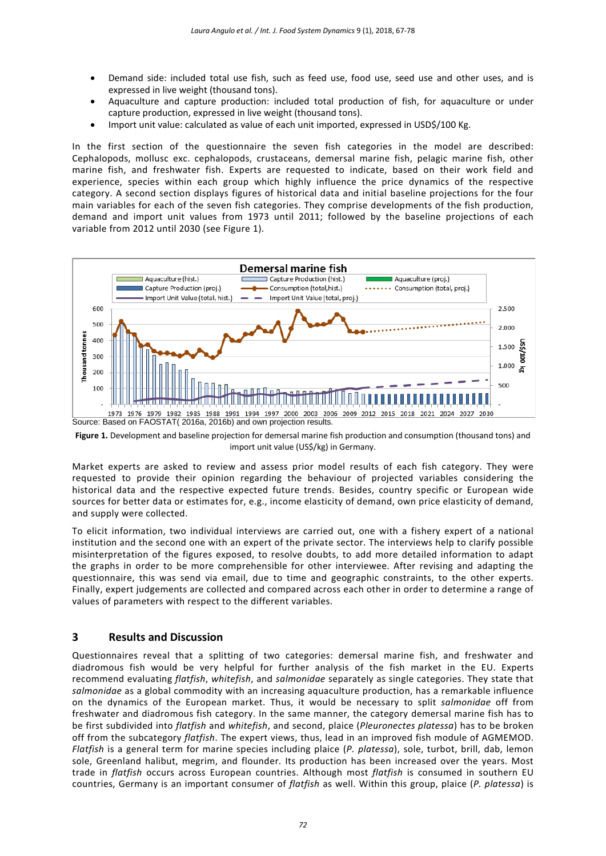- Demand side: included total use fish, such as feed use, food use, seed use and other uses, and is expressed in live weight (thousand tons).
- Aquaculture and capture production: included total production of fish, for aquaculture or under capture production, expressed in live weight (thousand tons).
- Import unit value: calculated as value of each unit imported, expressed in USD\$/100 Kg.

In the first section of the questionnaire the seven fish categories in the model are described: Cephalopods, mollusc exc. cephalopods, crustaceans, demersal marine fish, pelagic marine fish, other marine fish, and freshwater fish. Experts are requested to indicate, based on their work field and experience, species within each group which highly influence the price dynamics of the respective category. A second section displays figures of historical data and initial baseline projections for the four main variables for each of the seven fish categories. They comprise developments of the fish production, demand and import unit values from 1973 until 2011; followed by the baseline projections of each variable from 2012 until 2030 (see Figure 1).



**Figure 1.** Development and baseline projection for demersal marine fish production and consumption (thousand tons) and import unit value (US\$/kg) in Germany.

Market experts are asked to review and assess prior model results of each fish category. They were requested to provide their opinion regarding the behaviour of projected variables considering the historical data and the respective expected future trends. Besides, country specific or European wide sources for better data or estimates for, e.g., income elasticity of demand, own price elasticity of demand, and supply were collected.

To elicit information, two individual interviews are carried out, one with a fishery expert of a national institution and the second one with an expert of the private sector. The interviews help to clarify possible misinterpretation of the figures exposed, to resolve doubts, to add more detailed information to adapt the graphs in order to be more comprehensible for other interviewee. After revising and adapting the questionnaire, this was send via email, due to time and geographic constraints, to the other experts. Finally, expert judgements are collected and compared across each other in order to determine a range of values of parameters with respect to the different variables.

# **3 Results and Discussion**

Questionnaires reveal that a splitting of two categories: demersal marine fish, and freshwater and diadromous fish would be very helpful for further analysis of the fish market in the EU. Experts recommend evaluating *flatfish*, *whitefish*, and *salmonidae* separately as single categories. They state that *salmonidae* as a global commodity with an increasing aquaculture production, has a remarkable influence on the dynamics of the European market. Thus, it would be necessary to split *salmonidae* off from freshwater and diadromous fish category. In the same manner, the category demersal marine fish has to be first subdivided into *flatfish* and *whitefish*, and second, plaice (*Pleuronectes platessa*) has to be broken off from the subcategory *flatfish*. The expert views, thus, lead in an improved fish module of AGMEMOD. *Flatfish* is a general term for marine species including plaice (*P. platessa*), sole, turbot, brill, dab, lemon sole, Greenland halibut, megrim, and flounder. Its production has been increased over the years. Most trade in *flatfish* occurs across European countries. Although most *flatfish* is consumed in southern EU countries, Germany is an important consumer of *flatfish* as well. Within this group, plaice (*P. platessa*) is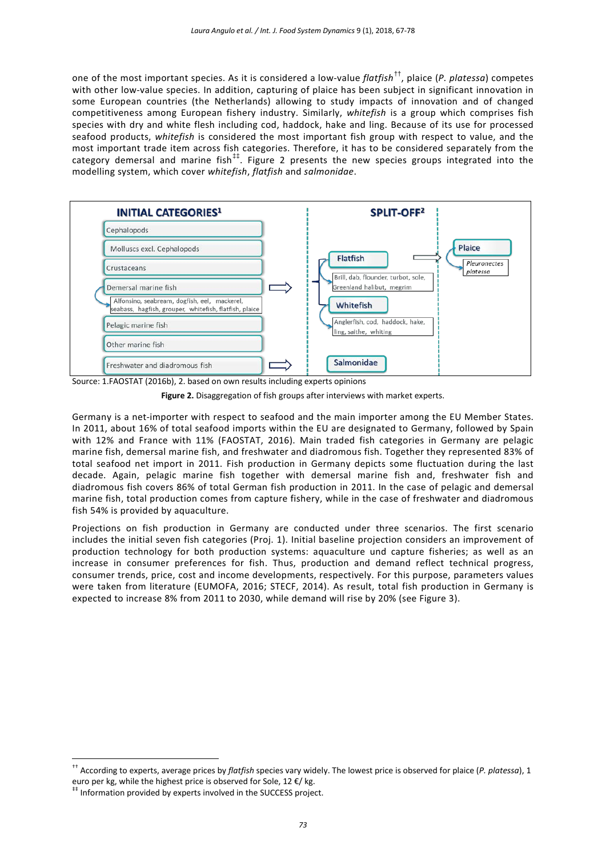one of the most important species. As it is considered a low-value *flatfish*[††](#page-6-0), plaice (*P. platessa*) competes with other low-value species. In addition, capturing of plaice has been subject in significant innovation in some European countries (the Netherlands) allowing to study impacts of innovation and of changed competitiveness among European fishery industry. Similarly, *whitefish* is a group which comprises fish species with dry and white flesh including cod, haddock, hake and ling. Because of its use for processed seafood products, *whitefish* is considered the most important fish group with respect to value, and the most important trade item across fish categories. Therefore, it has to be considered separately from the category demersal and marine fish<sup>##</sup>. Figure 2 presents the new species groups integrated into the modelling system, which cover *whitefish*, *flatfish* and *salmonidae*.



Source: 1.FAOSTAT (2016b), 2. based on own results including experts opinions

**Figure 2.** Disaggregation of fish groups after interviews with market experts.

Germany is a net-importer with respect to seafood and the main importer among the EU Member States. In 2011, about 16% of total seafood imports within the EU are designated to Germany, followed by Spain with 12% and France with 11% (FAOSTAT, 2016). Main traded fish categories in Germany are pelagic marine fish, demersal marine fish, and freshwater and diadromous fish. Together they represented 83% of total seafood net import in 2011. Fish production in Germany depicts some fluctuation during the last decade. Again, pelagic marine fish together with demersal marine fish and, freshwater fish and diadromous fish covers 86% of total German fish production in 2011. In the case of pelagic and demersal marine fish, total production comes from capture fishery, while in the case of freshwater and diadromous fish 54% is provided by aquaculture.

Projections on fish production in Germany are conducted under three scenarios. The first scenario includes the initial seven fish categories (Proj. 1). Initial baseline projection considers an improvement of production technology for both production systems: aquaculture und capture fisheries; as well as an increase in consumer preferences for fish. Thus, production and demand reflect technical progress, consumer trends, price, cost and income developments, respectively. For this purpose, parameters values were taken from literature (EUMOFA, 2016; STECF, 2014). As result, total fish production in Germany is expected to increase 8% from 2011 to 2030, while demand will rise by 20% (see Figure 3).

<span id="page-6-0"></span>†† According to experts, average prices by *flatfish* species vary widely. The lowest price is observed for plaice (*P. platessa*), 1

<span id="page-6-1"></span>euro per kg, while the highest price is observed for Sole, 12  $\epsilon$ / kg.  $**$  Information provided by experts involved in the SUCCESS project.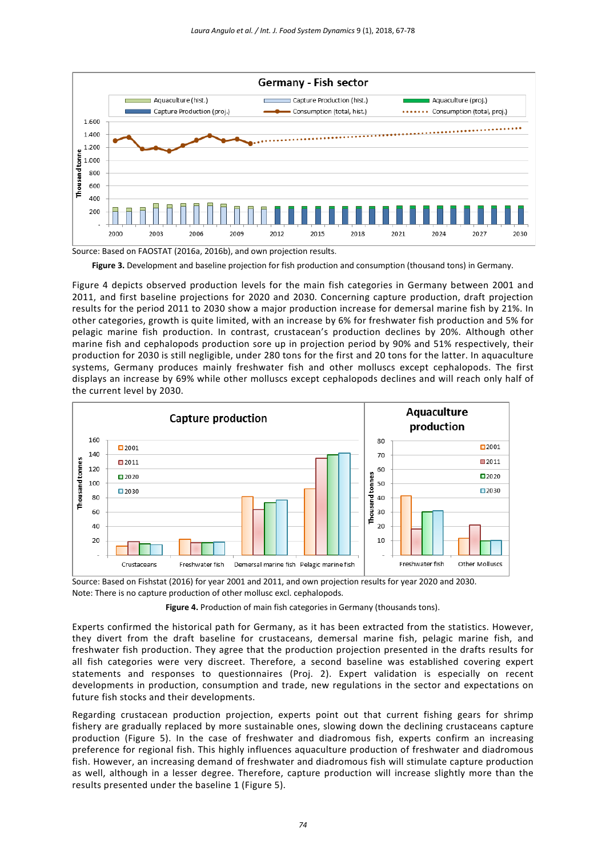

Source: Based on FAOSTAT (2016a, 2016b), and own projection results.

**Figure 3.** Development and baseline projection for fish production and consumption (thousand tons) in Germany.

Figure 4 depicts observed production levels for the main fish categories in Germany between 2001 and 2011, and first baseline projections for 2020 and 2030. Concerning capture production, draft projection results for the period 2011 to 2030 show a major production increase for demersal marine fish by 21%. In other categories, growth is quite limited, with an increase by 6% for freshwater fish production and 5% for pelagic marine fish production. In contrast, crustacean's production declines by 20%. Although other marine fish and cephalopods production sore up in projection period by 90% and 51% respectively, their production for 2030 is still negligible, under 280 tons for the first and 20 tons for the latter. In aquaculture systems, Germany produces mainly freshwater fish and other molluscs except cephalopods. The first displays an increase by 69% while other molluscs except cephalopods declines and will reach only half of the current level by 2030.



Source: Based on Fishstat (2016) for year 2001 and 2011, and own projection results for year 2020 and 2030. Note: There is no capture production of other mollusc excl. cephalopods.

Figure 4. Production of main fish categories in Germany (thousands tons).

Experts confirmed the historical path for Germany, as it has been extracted from the statistics. However, they divert from the draft baseline for crustaceans, demersal marine fish, pelagic marine fish, and freshwater fish production. They agree that the production projection presented in the drafts results for all fish categories were very discreet. Therefore, a second baseline was established covering expert statements and responses to questionnaires (Proj. 2). Expert validation is especially on recent developments in production, consumption and trade, new regulations in the sector and expectations on future fish stocks and their developments.

Regarding crustacean production projection, experts point out that current fishing gears for shrimp fishery are gradually replaced by more sustainable ones, slowing down the declining crustaceans capture production (Figure 5). In the case of freshwater and diadromous fish, experts confirm an increasing preference for regional fish. This highly influences aquaculture production of freshwater and diadromous fish. However, an increasing demand of freshwater and diadromous fish will stimulate capture production as well, although in a lesser degree. Therefore, capture production will increase slightly more than the results presented under the baseline 1 (Figure 5).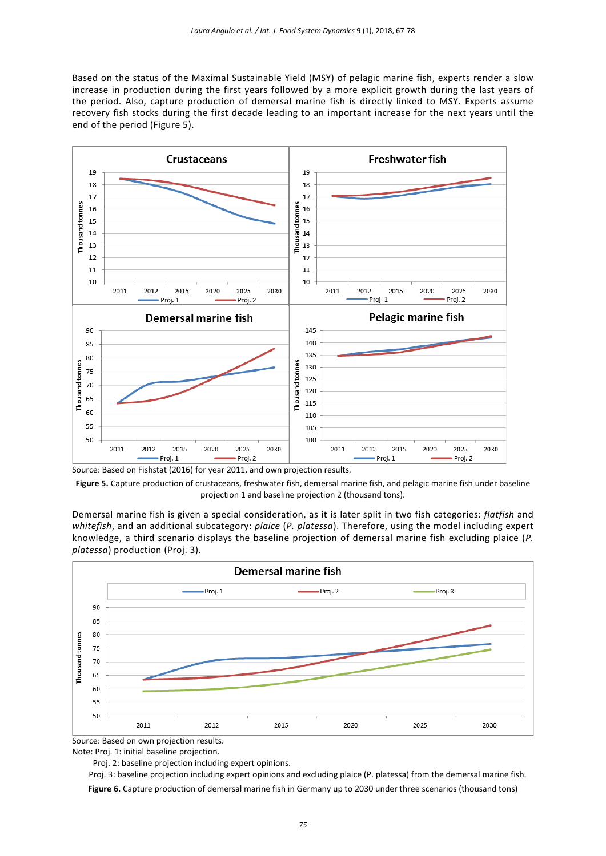Based on the status of the Maximal Sustainable Yield (MSY) of pelagic marine fish, experts render a slow increase in production during the first years followed by a more explicit growth during the last years of the period. Also, capture production of demersal marine fish is directly linked to MSY. Experts assume recovery fish stocks during the first decade leading to an important increase for the next years until the end of the period (Figure 5).



Source: Based on Fishstat (2016) for year 2011, and own projection results.

**Figure 5.** Capture production of crustaceans, freshwater fish, demersal marine fish, and pelagic marine fish under baseline projection 1 and baseline projection 2 (thousand tons).

Demersal marine fish is given a special consideration, as it is later split in two fish categories: *flatfish* and *whitefish*, and an additional subcategory: *plaice* (*P. platessa*). Therefore, using the model including expert knowledge, a third scenario displays the baseline projection of demersal marine fish excluding plaice (*P. platessa*) production (Proj. 3).



Source: Based on own projection results.

Note: Proj. 1: initial baseline projection.

Proj. 2: baseline projection including expert opinions.

 Proj. 3: baseline projection including expert opinions and excluding plaice (P. platessa) from the demersal marine fish. **Figure 6.** Capture production of demersal marine fish in Germany up to 2030 under three scenarios (thousand tons)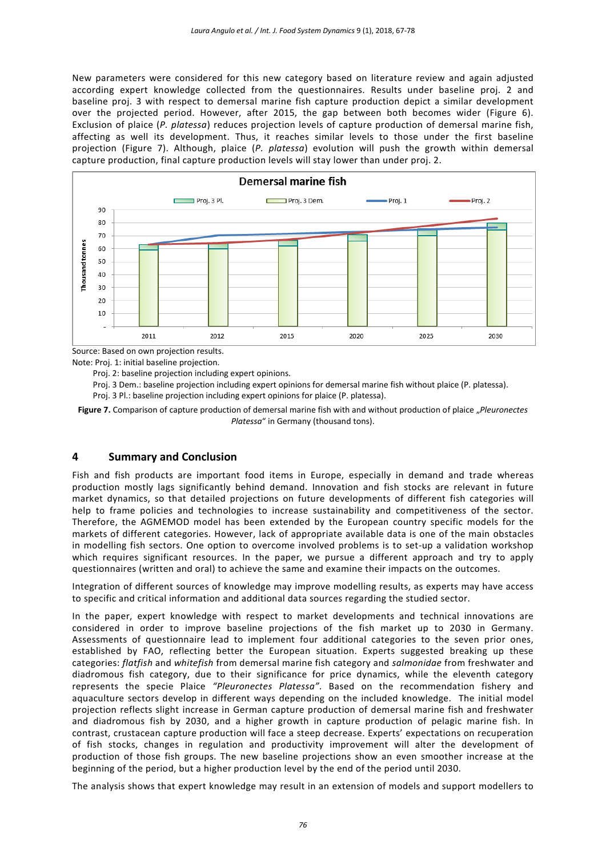New parameters were considered for this new category based on literature review and again adjusted according expert knowledge collected from the questionnaires. Results under baseline proj. 2 and baseline proj. 3 with respect to demersal marine fish capture production depict a similar development over the projected period. However, after 2015, the gap between both becomes wider (Figure 6). Exclusion of plaice (*P. platessa*) reduces projection levels of capture production of demersal marine fish, affecting as well its development. Thus, it reaches similar levels to those under the first baseline projection (Figure 7). Although, plaice (*P. platessa*) evolution will push the growth within demersal capture production, final capture production levels will stay lower than under proj. 2.



Source: Based on own projection results.

Note: Proj. 1: initial baseline projection.

Proj. 2: baseline projection including expert opinions.

Proj. 3 Dem.: baseline projection including expert opinions for demersal marine fish without plaice (P. platessa).

Proj. 3 Pl.: baseline projection including expert opinions for plaice (P. platessa).

Figure 7. Comparison of capture production of demersal marine fish with and without production of plaice "Pleuronectes *Platessa*" in Germany (thousand tons).

## **4 Summary and Conclusion**

Fish and fish products are important food items in Europe, especially in demand and trade whereas production mostly lags significantly behind demand. Innovation and fish stocks are relevant in future market dynamics, so that detailed projections on future developments of different fish categories will help to frame policies and technologies to increase sustainability and competitiveness of the sector. Therefore, the AGMEMOD model has been extended by the European country specific models for the markets of different categories. However, lack of appropriate available data is one of the main obstacles in modelling fish sectors. One option to overcome involved problems is to set-up a validation workshop which requires significant resources. In the paper, we pursue a different approach and try to apply questionnaires (written and oral) to achieve the same and examine their impacts on the outcomes.

Integration of different sources of knowledge may improve modelling results, as experts may have access to specific and critical information and additional data sources regarding the studied sector.

In the paper, expert knowledge with respect to market developments and technical innovations are considered in order to improve baseline projections of the fish market up to 2030 in Germany. Assessments of questionnaire lead to implement four additional categories to the seven prior ones, established by FAO, reflecting better the European situation. Experts suggested breaking up these categories: *flatfish* and *whitefish* from demersal marine fish category and *salmonidae* from freshwater and diadromous fish category, due to their significance for price dynamics, while the eleventh category represents the specie Plaice *"Pleuronectes Platessa"*. Based on the recommendation fishery and aquaculture sectors develop in different ways depending on the included knowledge. The initial model projection reflects slight increase in German capture production of demersal marine fish and freshwater and diadromous fish by 2030, and a higher growth in capture production of pelagic marine fish. In contrast, crustacean capture production will face a steep decrease. Experts' expectations on recuperation of fish stocks, changes in regulation and productivity improvement will alter the development of production of those fish groups. The new baseline projections show an even smoother increase at the beginning of the period, but a higher production level by the end of the period until 2030.

The analysis shows that expert knowledge may result in an extension of models and support modellers to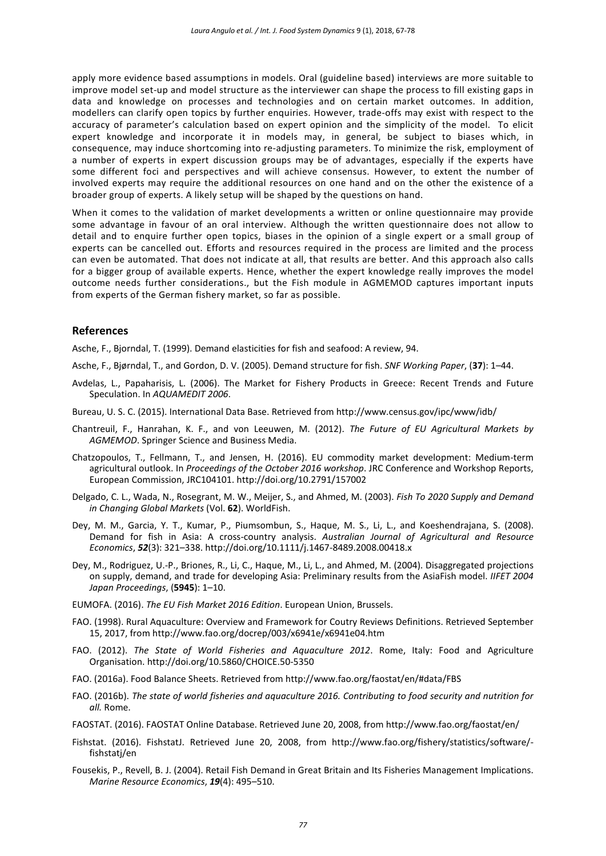apply more evidence based assumptions in models. Oral (guideline based) interviews are more suitable to improve model set-up and model structure as the interviewer can shape the process to fill existing gaps in data and knowledge on processes and technologies and on certain market outcomes. In addition, modellers can clarify open topics by further enquiries. However, trade-offs may exist with respect to the accuracy of parameter's calculation based on expert opinion and the simplicity of the model. To elicit expert knowledge and incorporate it in models may, in general, be subject to biases which, in consequence, may induce shortcoming into re-adjusting parameters. To minimize the risk, employment of a number of experts in expert discussion groups may be of advantages, especially if the experts have some different foci and perspectives and will achieve consensus. However, to extent the number of involved experts may require the additional resources on one hand and on the other the existence of a broader group of experts. A likely setup will be shaped by the questions on hand.

When it comes to the validation of market developments a written or online questionnaire may provide some advantage in favour of an oral interview. Although the written questionnaire does not allow to detail and to enquire further open topics, biases in the opinion of a single expert or a small group of experts can be cancelled out. Efforts and resources required in the process are limited and the process can even be automated. That does not indicate at all, that results are better. And this approach also calls for a bigger group of available experts. Hence, whether the expert knowledge really improves the model outcome needs further considerations., but the Fish module in AGMEMOD captures important inputs from experts of the German fishery market, so far as possible.

### **References**

Asche, F., Bjorndal, T. (1999). Demand elasticities for fish and seafood: A review, 94.

- Asche, F., Bjørndal, T., and Gordon, D. V. (2005). Demand structure for fish. *SNF Working Paper*, (**37**): 1–44.
- Avdelas, L., Papaharisis, L. (2006). The Market for Fishery Products in Greece: Recent Trends and Future Speculation. In *AQUAMEDIT 2006*.
- Bureau, U. S. C. (2015). International Data Base. Retrieved from http://www.census.gov/ipc/www/idb/
- Chantreuil, F., Hanrahan, K. F., and von Leeuwen, M. (2012). *The Future of EU Agricultural Markets by AGMEMOD*. Springer Science and Business Media.
- Chatzopoulos, T., Fellmann, T., and Jensen, H. (2016). EU commodity market development: Medium-term agricultural outlook. In *Proceedings of the October 2016 workshop*. JRC Conference and Workshop Reports, European Commission, JRC104101. http://doi.org/10.2791/157002
- Delgado, C. L., Wada, N., Rosegrant, M. W., Meijer, S., and Ahmed, M. (2003). *Fish To 2020 Supply and Demand in Changing Global Markets* (Vol. **62**). WorldFish.
- Dey, M. M., Garcia, Y. T., Kumar, P., Piumsombun, S., Haque, M. S., Li, L., and Koeshendrajana, S. (2008). Demand for fish in Asia: A cross-country analysis. *Australian Journal of Agricultural and Resource Economics*, *52*(3): 321–338. http://doi.org/10.1111/j.1467-8489.2008.00418.x
- Dey, M., Rodriguez, U.-P., Briones, R., Li, C., Haque, M., Li, L., and Ahmed, M. (2004). Disaggregated projections on supply, demand, and trade for developing Asia: Preliminary results from the AsiaFish model. *IIFET 2004 Japan Proceedings*, (**5945**): 1–10.
- EUMOFA. (2016). *The EU Fish Market 2016 Edition*. European Union, Brussels.
- FAO. (1998). Rural Aquaculture: Overview and Framework for Coutry Reviews Definitions. Retrieved September 15, 2017, from http://www.fao.org/docrep/003/x6941e/x6941e04.htm
- FAO. (2012). *The State of World Fisheries and Aquaculture 2012*. Rome, Italy: Food and Agriculture Organisation. http://doi.org/10.5860/CHOICE.50-5350
- FAO. (2016a). Food Balance Sheets. Retrieved from http://www.fao.org/faostat/en/#data/FBS
- FAO. (2016b). *The state of world fisheries and aquaculture 2016. Contributing to food security and nutrition for all.* Rome.
- FAOSTAT. (2016). FAOSTAT Online Database. Retrieved June 20, 2008, from http://www.fao.org/faostat/en/
- Fishstat. (2016). FishstatJ. Retrieved June 20, 2008, from http://www.fao.org/fishery/statistics/software/ fishstatj/en
- Fousekis, P., Revell, B. J. (2004). Retail Fish Demand in Great Britain and Its Fisheries Management Implications. *Marine Resource Economics*, *19*(4): 495–510.